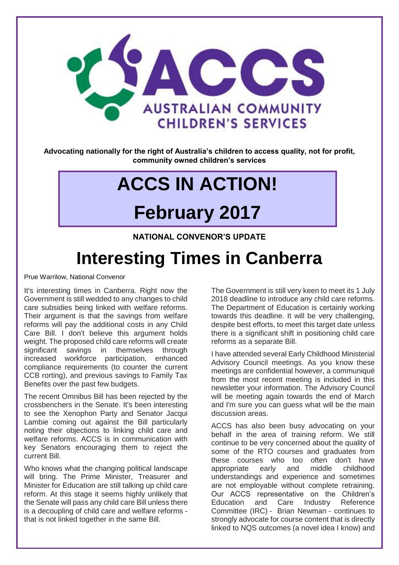

**Advocating nationally for the right of Australia's children to access quality, not for profit, community owned children's services**

# **ACCS IN ACTION!**

# **February 2017**

**NATIONAL CONVENOR'S UPDATE**

# **Interesting Times in Canberra**

Prue Warrilow, National Convenor

It's interesting times in Canberra. Right now the Government is still wedded to any changes to child care subsidies being linked with welfare reforms. Their argument is that the savings from welfare reforms will pay the additional costs in any Child Care Bill. I don't believe this argument holds weight. The proposed child care reforms will create significant savings in themselves through increased workforce participation, enhanced compliance requirements (to counter the current CCB rorting), and previous savings to Family Tax Benefits over the past few budgets.

The recent Omnibus Bill has been rejected by the crossbenchers in the Senate. It's been interesting to see the Xenophon Party and Senator Jacqui Lambie coming out against the Bill particularly noting their objections to linking child care and welfare reforms. ACCS is in communication with key Senators encouraging them to reject the current Bill.

Who knows what the changing political landscape will bring. The Prime Minister, Treasurer and Minister for Education are still talking up child care reform. At this stage it seems highly unlikely that the Senate will pass any child care Bill unless there is a decoupling of child care and welfare reforms that is not linked together in the same Bill.

The Government is still very keen to meet its 1 July 2018 deadline to introduce any child care reforms. The Department of Education is certainly working towards this deadline. It will be very challenging, despite best efforts, to meet this target date unless there is a significant shift in positioning child care reforms as a separate Bill.

I have attended several Early Childhood Ministerial Advisory Council meetings. As you know these meetings are confidential however, a communiqué from the most recent meeting is included in this newsletter your information. The Advisory Council will be meeting again towards the end of March and I'm sure you can guess what will be the main discussion areas.

ACCS has also been busy advocating on your behalf in the area of training reform. We still continue to be very concerned about the quality of some of the RTO courses and graduates from these courses who too often don't have<br>appropriate early and middle childhood appropriate early and middle childhood understandings and experience and sometimes are not employable without complete retraining. Our ACCS representative on the Children's Education and Care Industry Reference Committee (IRC) - Brian Newman - continues to strongly advocate for course content that is directly linked to NQS outcomes (a novel idea I know) and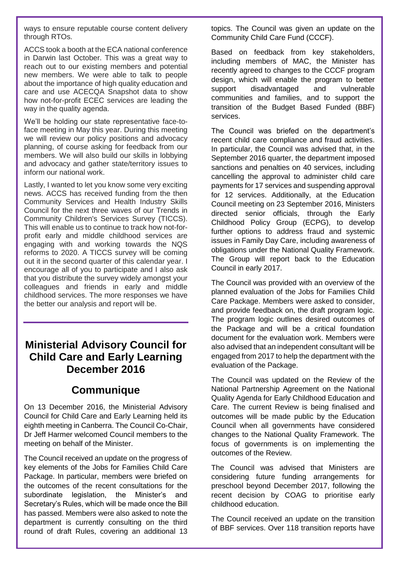ways to ensure reputable course content delivery through RTOs.

ACCS took a booth at the ECA national conference in Darwin last October. This was a great way to reach out to our existing members and potential new members. We were able to talk to people about the importance of high quality education and care and use ACECQA Snapshot data to show how not-for-profit ECEC services are leading the way in the quality agenda.

We'll be holding our state representative face-toface meeting in May this year. During this meeting we will review our policy positions and advocacy planning, of course asking for feedback from our members. We will also build our skills in lobbying and advocacy and gather state/territory issues to inform our national work.

Lastly, I wanted to let you know some very exciting news. ACCS has received funding from the then Community Services and Health Industry Skills Council for the next three waves of our Trends in Community Children's Services Survey (TICCS). This will enable us to continue to track how not-forprofit early and middle childhood services are engaging with and working towards the NQS reforms to 2020. A TICCS survey will be coming out it in the second quarter of this calendar year. I encourage all of you to participate and I also ask that you distribute the survey widely amongst your colleagues and friends in early and middle childhood services. The more responses we have the better our analysis and report will be.

#### **Ministerial Advisory Council for Child Care and Early Learning December 2016**

#### **Communique**

On 13 December 2016, the Ministerial Advisory Council for Child Care and Early Learning held its eighth meeting in Canberra. The Council Co-Chair, Dr Jeff Harmer welcomed Council members to the meeting on behalf of the Minister.

The Council received an update on the progress of key elements of the Jobs for Families Child Care Package. In particular, members were briefed on the outcomes of the recent consultations for the subordinate legislation, the Minister's and Secretary's Rules, which will be made once the Bill has passed. Members were also asked to note the department is currently consulting on the third round of draft Rules, covering an additional 13 topics. The Council was given an update on the Community Child Care Fund (CCCF).

Based on feedback from key stakeholders, including members of MAC, the Minister has recently agreed to changes to the CCCF program design, which will enable the program to better support disadvantaged and vulnerable communities and families, and to support the transition of the Budget Based Funded (BBF) services.

The Council was briefed on the department's recent child care compliance and fraud activities. In particular, the Council was advised that, in the September 2016 quarter, the department imposed sanctions and penalties on 40 services, including cancelling the approval to administer child care payments for 17 services and suspending approval for 12 services. Additionally, at the Education Council meeting on 23 September 2016, Ministers directed senior officials, through the Early Childhood Policy Group (ECPG), to develop further options to address fraud and systemic issues in Family Day Care, including awareness of obligations under the National Quality Framework. The Group will report back to the Education Council in early 2017.

The Council was provided with an overview of the planned evaluation of the Jobs for Families Child Care Package. Members were asked to consider, and provide feedback on, the draft program logic. The program logic outlines desired outcomes of the Package and will be a critical foundation document for the evaluation work. Members were also advised that an independent consultant will be engaged from 2017 to help the department with the evaluation of the Package.

The Council was updated on the Review of the National Partnership Agreement on the National Quality Agenda for Early Childhood Education and Care. The current Review is being finalised and outcomes will be made public by the Education Council when all governments have considered changes to the National Quality Framework. The focus of governments is on implementing the outcomes of the Review.

The Council was advised that Ministers are considering future funding arrangements for preschool beyond December 2017, following the recent decision by COAG to prioritise early childhood education.

The Council received an update on the transition of BBF services. Over 118 transition reports have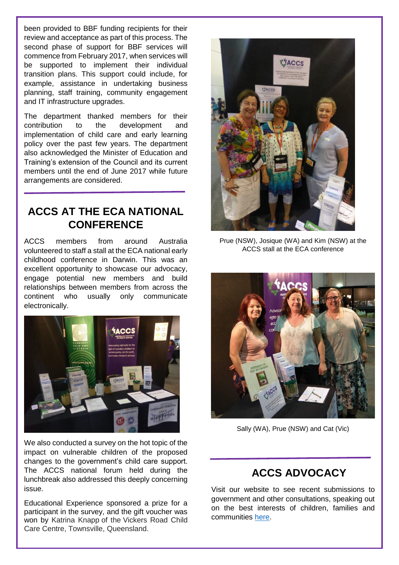been provided to BBF funding recipients for their review and acceptance as part of this process. The second phase of support for BBF services will commence from February 2017, when services will be supported to implement their individual transition plans. This support could include, for example, assistance in undertaking business planning, staff training, community engagement and IT infrastructure upgrades.

The department thanked members for their contribution to the development and implementation of child care and early learning policy over the past few years. The department also acknowledged the Minister of Education and Training's extension of the Council and its current members until the end of June 2017 while future arrangements are considered.

#### **ACCS AT THE ECA NATIONAL CONFERENCE**

ACCS members from around Australia volunteered to staff a stall at the ECA national early childhood conference in Darwin. This was an excellent opportunity to showcase our advocacy, engage potential new members and build relationships between members from across the continent who usually only communicate electronically.



We also conducted a survey on the hot topic of the impact on vulnerable children of the proposed changes to the government's child care support. The ACCS national forum held during the lunchbreak also addressed this deeply concerning issue.

Educational Experience sponsored a prize for a participant in the survey, and the gift voucher was won by Katrina Knapp of the Vickers Road Child Care Centre, Townsville, Queensland.



Prue (NSW), Josique (WA) and Kim (NSW) at the ACCS stall at the ECA conference



Sally (WA), Prue (NSW) and Cat (Vic)

#### **ACCS ADVOCACY**

Visit our website to see recent submissions to government and other consultations, speaking out on the best interests of children, families and communities [here.](http://ausccs.org.au/?page_id=62)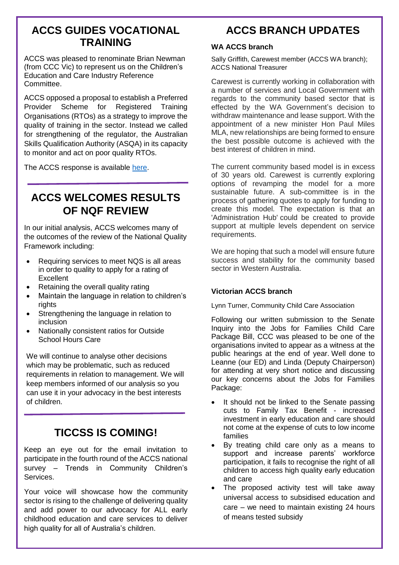#### **ACCS GUIDES VOCATIONAL TRAINING**

ACCS was pleased to renominate Brian Newman (from CCC Vic) to represent us on the Children's Education and Care Industry Reference Committee.

ACCS opposed a proposal to establish a Preferred Provider Scheme for Registered Training Organisations (RTOs) as a strategy to improve the quality of training in the sector. Instead we called for strengthening of the regulator, the Australian Skills Qualification Authority (ASQA) in its capacity to monitor and act on poor quality RTOs.

The ACCS response is available [here.](http://ausccs.org.au/wp-content/uploads/2016/12/20161214-Sub.pdf)

## **ACCS WELCOMES RESULTS OF NQF REVIEW**

In our initial analysis, ACCS welcomes many of the outcomes of the review of the National Quality Framework including:

- Requiring services to meet NQS is all areas in order to quality to apply for a rating of **Excellent**
- Retaining the overall quality rating
- Maintain the language in relation to children's rights
- Strengthening the language in relation to inclusion
- Nationally consistent ratios for Outside School Hours Care

We will continue to analyse other decisions which may be problematic, such as reduced requirements in relation to management. We will keep members informed of our analysis so you can use it in your advocacy in the best interests of children.

## **TICCSS IS COMING!**

Keep an eye out for the email invitation to participate in the fourth round of the ACCS national survey – Trends in Community Children's **Services** 

Your voice will showcase how the community sector is rising to the challenge of delivering quality and add power to our advocacy for ALL early childhood education and care services to deliver high quality for all of Australia's children.

#### **ACCS BRANCH UPDATES**

#### **WA ACCS branch**

Sally Griffith, Carewest member (ACCS WA branch); ACCS National Treasurer

Carewest is currently working in collaboration with a number of services and Local Government with regards to the community based sector that is effected by the WA Government's decision to withdraw maintenance and lease support. With the appointment of a new minister Hon Paul Miles MLA, new relationships are being formed to ensure the best possible outcome is achieved with the best interest of children in mind.

The current community based model is in excess of 30 years old. Carewest is currently exploring options of revamping the model for a more sustainable future. A sub-committee is in the process of gathering quotes to apply for funding to create this model. The expectation is that an 'Administration Hub' could be created to provide support at multiple levels dependent on service requirements.

We are hoping that such a model will ensure future success and stability for the community based sector in Western Australia.

#### **Victorian ACCS branch**

Lynn Turner, Community Child Care Association

Following our written submission to the Senate Inquiry into the Jobs for Families Child Care Package Bill, CCC was pleased to be one of the organisations invited to appear as a witness at the public hearings at the end of year. Well done to Leanne (our ED) and Linda (Deputy Chairperson) for attending at very short notice and discussing our key concerns about the Jobs for Families Package:

- It should not be linked to the Senate passing cuts to Family Tax Benefit - increased investment in early education and care should not come at the expense of cuts to low income families
- By treating child care only as a means to support and increase parents' workforce participation, it fails to recognise the right of all children to access high quality early education and care
- The proposed activity test will take away universal access to subsidised education and care – we need to maintain existing 24 hours of means tested subsidy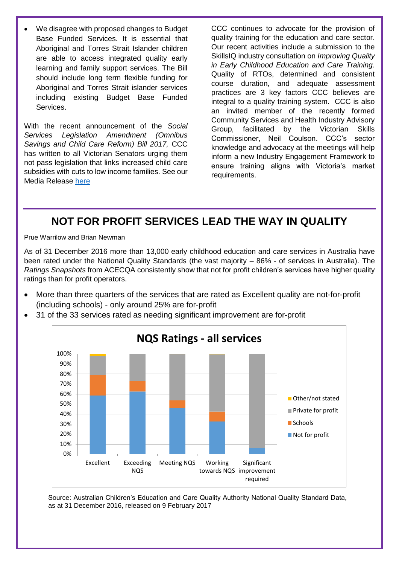We disagree with proposed changes to Budget Base Funded Services. It is essential that Aboriginal and Torres Strait Islander children are able to access integrated quality early learning and family support services. The Bill should include long term flexible funding for Aboriginal and Torres Strait islander services including existing Budget Base Funded Services.

With the recent announcement of the *Social Services Legislation Amendment (Omnibus Savings and Child Care Reform) Bill 2017,* CCC has written to all Victorian Senators urging them not pass legislation that links increased child care subsidies with cuts to low income families. See our Media Release [here](http://www.cccinc.org.au/docs/media-release-_-proposed-new-child-care-bill.pdf) 

CCC continues to advocate for the provision of quality training for the education and care sector. Our recent activities include a submission to the SkillsIQ industry consultation on *Improving Quality in Early Childhood Education and Care Training.*  Quality of RTOs, determined and consistent course duration, and adequate assessment practices are 3 key factors CCC believes are integral to a quality training system. CCC is also an invited member of the recently formed Community Services and Health Industry Advisory Group, facilitated by the Victorian Skills Commissioner, Neil Coulson. CCC's sector knowledge and advocacy at the meetings will help inform a new Industry Engagement Framework to ensure training aligns with Victoria's market requirements.

## **NOT FOR PROFIT SERVICES LEAD THE WAY IN QUALITY**

Prue Warrilow and Brian Newman

As of 31 December 2016 more than 13,000 early childhood education and care services in Australia have been rated under the National Quality Standards (the vast majority – 86% - of services in Australia). The *Ratings Snapshots* from ACECQA consistently show that not for profit children's services have higher quality ratings than for profit operators.

 More than three quarters of the services that are rated as Excellent quality are not-for-profit (including schools) - only around 25% are for-profit



31 of the 33 services rated as needing significant improvement are for-profit

Source: Australian Children's Education and Care Quality Authority National Quality Standard Data, as at 31 December 2016, released on 9 February 2017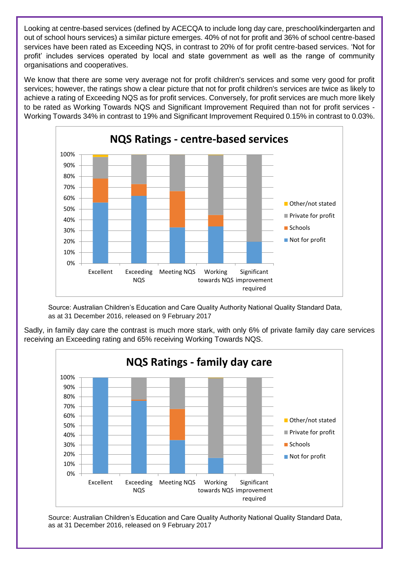Looking at centre-based services (defined by ACECQA to include long day care, preschool/kindergarten and out of school hours services) a similar picture emerges. 40% of not for profit and 36% of school centre-based services have been rated as Exceeding NQS, in contrast to 20% of for profit centre-based services. 'Not for profit' includes services operated by local and state government as well as the range of community organisations and cooperatives.

We know that there are some very average not for profit children's services and some very good for profit services; however, the ratings show a clear picture that not for profit children's services are twice as likely to achieve a rating of Exceeding NQS as for profit services. Conversely, for profit services are much more likely to be rated as Working Towards NQS and Significant Improvement Required than not for profit services - Working Towards 34% in contrast to 19% and Significant Improvement Required 0.15% in contrast to 0.03%.



Source: Australian Children's Education and Care Quality Authority National Quality Standard Data, as at 31 December 2016, released on 9 February 2017



Sadly, in family day care the contrast is much more stark, with only 6% of private family day care services receiving an Exceeding rating and 65% receiving Working Towards NQS.

Source: Australian Children's Education and Care Quality Authority National Quality Standard Data, as at 31 December 2016, released on 9 February 2017